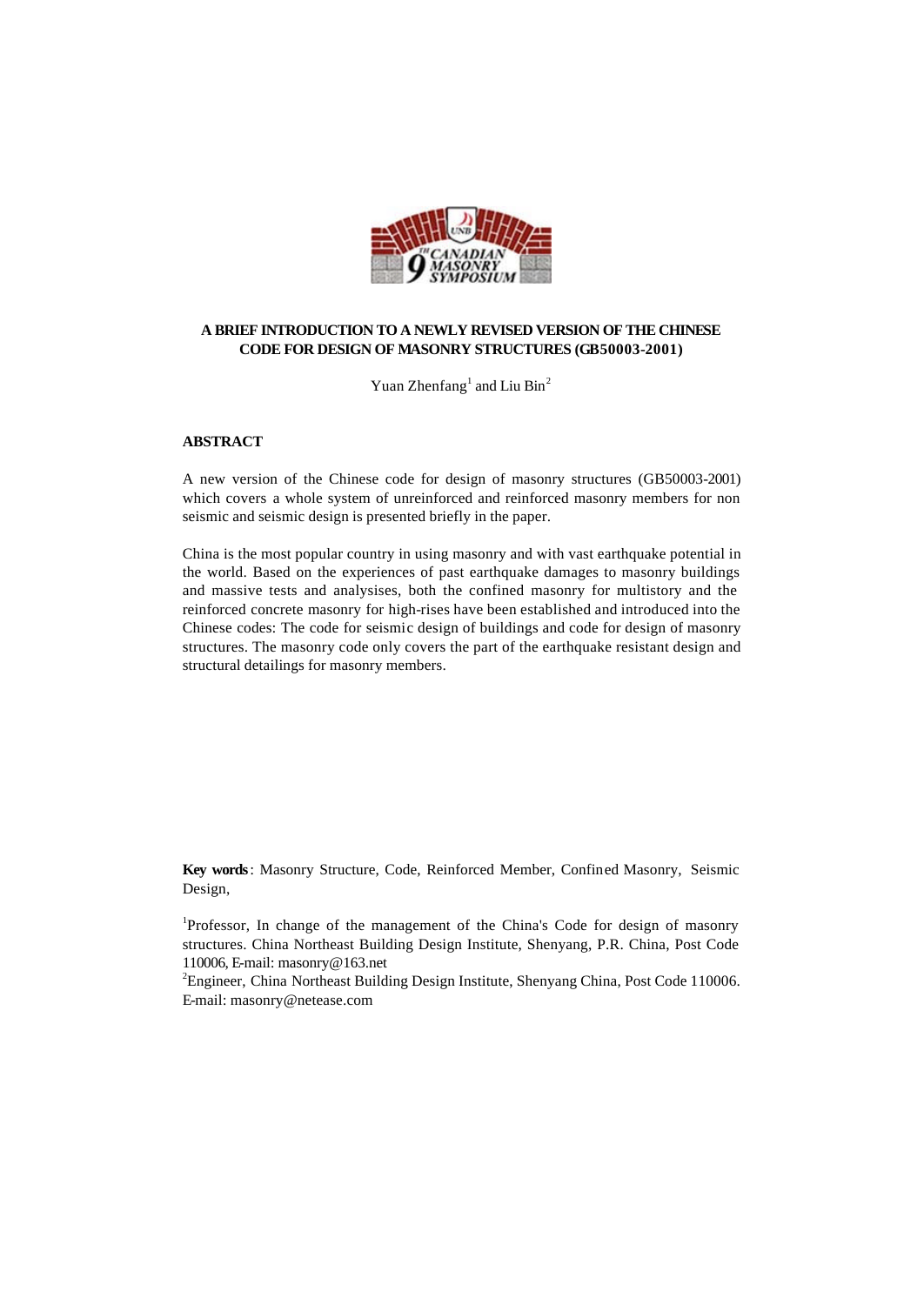

## **A BRIEF INTRODUCTION TO A NEWLY REVISED VERSION OF THE CHINESE CODE FOR DESIGN OF MASONRY STRUCTURES (GB50003-2001)**

Yuan Zhenfang<sup>1</sup> and Liu Bin<sup>2</sup>

#### **ABSTRACT**

A new version of the Chinese code for design of masonry structures (GB50003-2001) which covers a whole system of unreinforced and reinforced masonry members for non seismic and seismic design is presented briefly in the paper.

China is the most popular country in using masonry and with vast earthquake potential in the world. Based on the experiences of past earthquake damages to masonry buildings and massive tests and analysises, both the confined masonry for multistory and the reinforced concrete masonry for high-rises have been established and introduced into the Chinese codes: The code for seismic design of buildings and code for design of masonry structures. The masonry code only covers the part of the earthquake resistant design and structural detailings for masonry members.

**Key words**: Masonry Structure, Code, Reinforced Member, Confined Masonry, Seismic Design,

<sup>1</sup>Professor, In change of the management of the China's Code for design of masonry structures. China Northeast Building Design Institute, Shenyang, P.R. China, Post Code 110006, E-mail: masonry@163.net

<sup>2</sup>Engineer, China Northeast Building Design Institute, Shenyang China, Post Code 110006. E-mail: masonry@netease.com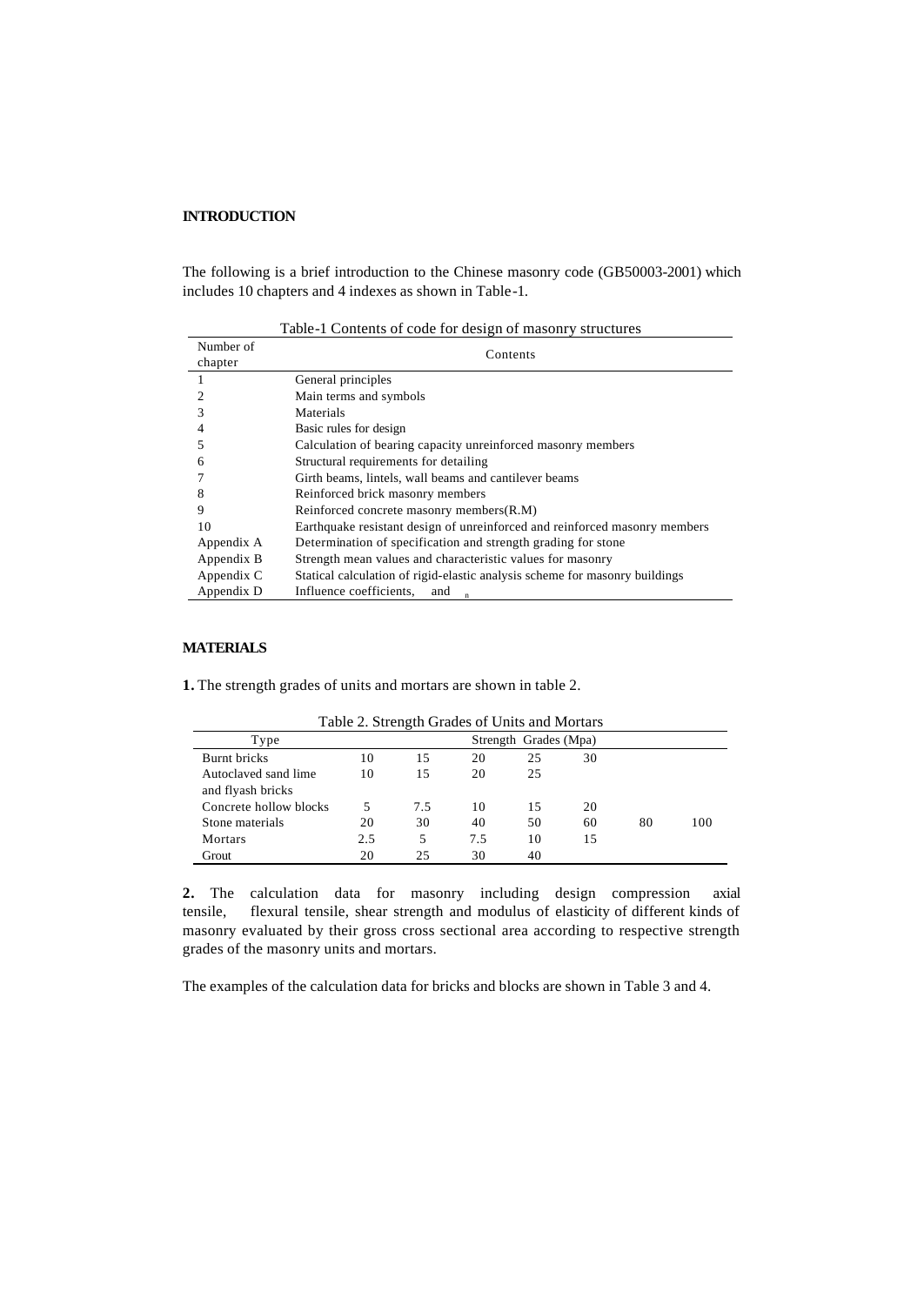# **INTRODUCTION**

The following is a brief introduction to the Chinese masonry code (GB50003-2001) which includes 10 chapters and 4 indexes as shown in Table-1.

Table-1 Contents of code for design of masonry structures

| Number of<br>chapter | Contents                                                                    |
|----------------------|-----------------------------------------------------------------------------|
|                      | General principles                                                          |
|                      | Main terms and symbols                                                      |
|                      | Materials                                                                   |
|                      | Basic rules for design                                                      |
|                      | Calculation of bearing capacity unreinforced masonry members                |
| 6                    | Structural requirements for detailing                                       |
|                      | Girth beams, lintels, wall beams and cantilever beams                       |
| 8                    | Reinforced brick masonry members                                            |
| 9                    | Reinforced concrete masonry members (R.M)                                   |
| 10                   | Earthquake resistant design of unreinforced and reinforced masonry members  |
| Appendix A           | Determination of specification and strength grading for stone               |
| Appendix B           | Strength mean values and characteristic values for masonry                  |
| Appendix C           | Statical calculation of rigid-elastic analysis scheme for masonry buildings |
| Appendix D           | Influence coefficients,<br>and                                              |

#### **MATERIALS**

**1.** The strength grades of units and mortars are shown in table 2.

|                        |     |     |     | I avie 2. Strength Grades of Units and Mortals |    |    |     |
|------------------------|-----|-----|-----|------------------------------------------------|----|----|-----|
| Type                   |     |     |     | Strength Grades (Mpa)                          |    |    |     |
| Burnt bricks           | 10  | 15  | 20  | 25                                             | 30 |    |     |
| Autoclaved sand lime   | 10  | 15  | 20  | 25                                             |    |    |     |
| and flyash bricks      |     |     |     |                                                |    |    |     |
| Concrete hollow blocks | 5   | 7.5 | 10  | 15                                             | 20 |    |     |
| Stone materials        | 20  | 30  | 40  | 50                                             | 60 | 80 | 100 |
| Mortars                | 2.5 | 5   | 7.5 | 10                                             | 15 |    |     |
| Grout                  | 20  | 25  | 30  | 40                                             |    |    |     |

Table 2. Strength Grades of Units and Mortars

2. The calculation data for masonry including design compression axial tensile, flexural tensile, shear strength and modulus of elasticity of different kinds of masonry evaluated by their gross cross sectional area according to respective strength grades of the masonry units and mortars.

The examples of the calculation data for bricks and blocks are shown in Table 3 and 4.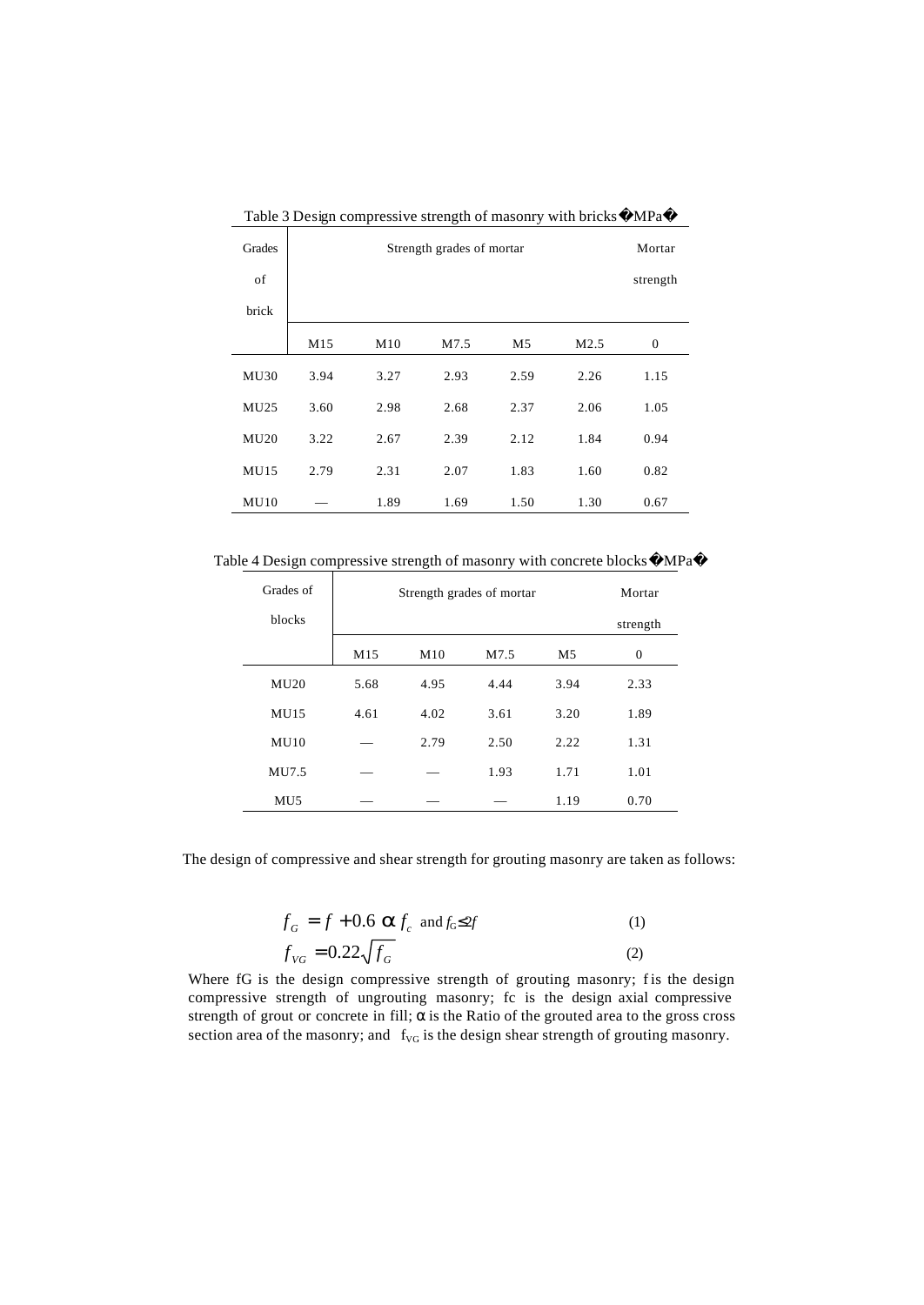| Grades      |      | Mortar |      |                |                  |              |
|-------------|------|--------|------|----------------|------------------|--------------|
| of          |      |        |      |                |                  | strength     |
| brick       |      |        |      |                |                  |              |
|             | M15  | M10    | M7.5 | M <sub>5</sub> | M <sub>2.5</sub> | $\mathbf{0}$ |
| MU30        | 3.94 | 3.27   | 2.93 | 2.59           | 2.26             | 1.15         |
| MU25        | 3.60 | 2.98   | 2.68 | 2.37           | 2.06             | 1.05         |
| MU20        | 3.22 | 2.67   | 2.39 | 2.12           | 1.84             | 0.94         |
| <b>MU15</b> | 2.79 | 2.31   | 2.07 | 1.83           | 1.60             | 0.82         |
| MU10        |      | 1.89   | 1.69 | 1.50           | 1.30             | 0.67         |

Table 3 Design compressive strength of masonry with bricks MPa

Table 4 Design compressive strength of masonry with concrete blocks MPa

| Grades of       | Strength grades of mortar | Mortar |      |                |          |
|-----------------|---------------------------|--------|------|----------------|----------|
| blocks          |                           |        |      |                | strength |
|                 | M15                       | M10    | M7.5 | M <sub>5</sub> | $\Omega$ |
| MU20            | 5.68                      | 4.95   | 4.44 | 3.94           | 2.33     |
| MUI5            | 4.61                      | 4.02   | 3.61 | 3.20           | 1.89     |
| MU10            |                           | 2.79   | 2.50 | 2.22           | 1.31     |
| MU7.5           |                           |        | 1.93 | 1.71           | 1.01     |
| MU <sub>5</sub> |                           |        |      | 1.19           | 0.70     |

The design of compressive and shear strength for grouting masonry are taken as follows:

$$
f_G = f + 0.6 \text{ a} f_c \text{ and } f_G \leq 2f
$$
  
\n
$$
f_{VG} = 0.22 \sqrt{f_G}
$$
 (1)  
\n(2)

Where fG is the design compressive strength of grouting masonry; fis the design compressive strength of ungrouting masonry; fc is the design axial compressive strength of grout or concrete in fill;  $\alpha$  is the Ratio of the grouted area to the gross cross section area of the masonry; and  $f_{\text{VG}}$  is the design shear strength of grouting masonry.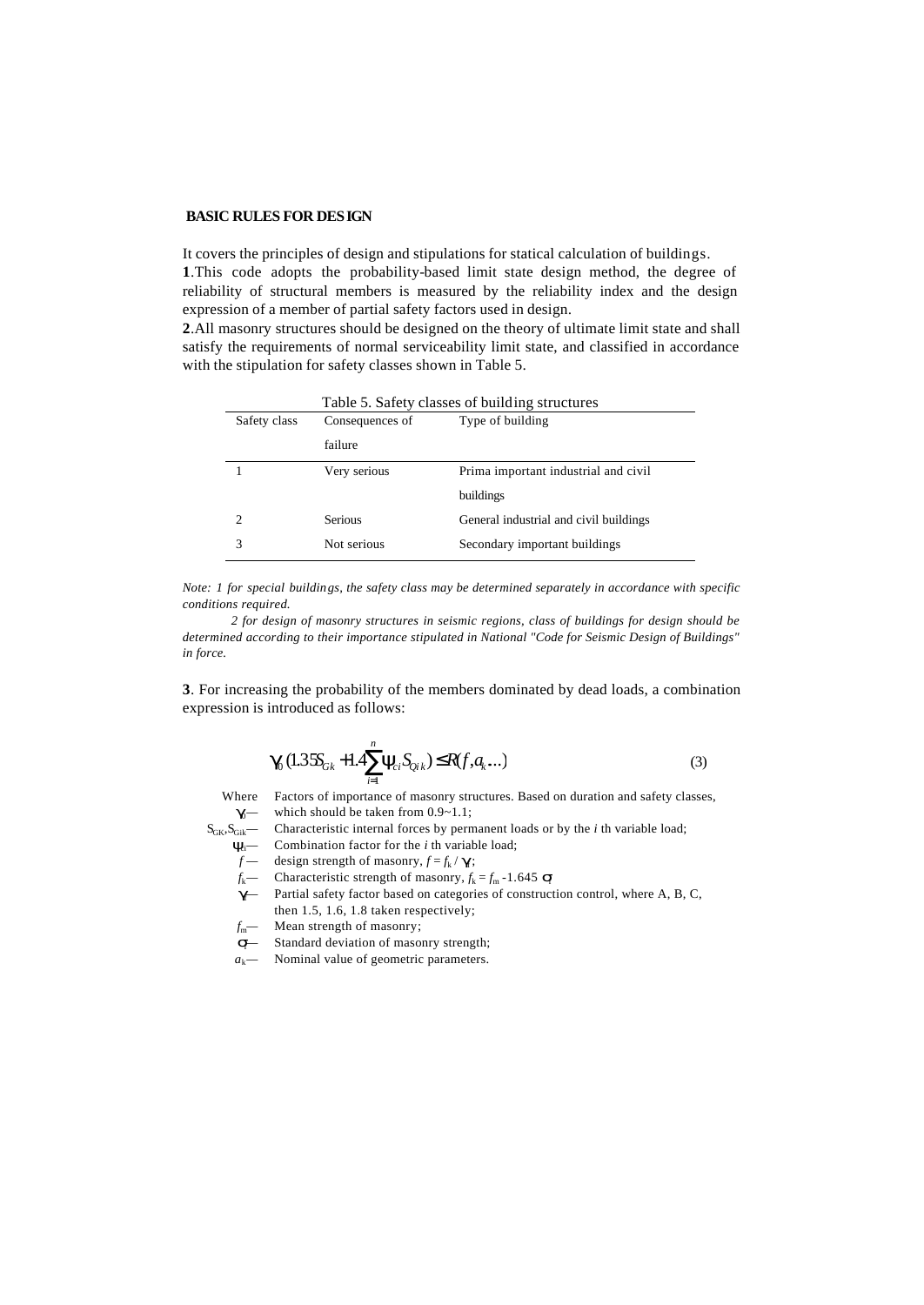### **BASIC RULES FOR DESIGN**

It covers the principles of design and stipulations for statical calculation of buildings. **1**.This code adopts the probability-based limit state design method, the degree of reliability of structural members is measured by the reliability index and the design

expression of a member of partial safety factors used in design. **2**.All masonry structures should be designed on the theory of ultimate limit state and shall satisfy the requirements of normal serviceability limit state, and classified in accordance with the stipulation for safety classes shown in Table 5.

| Safety class                | Consequences of<br>Type of building |                                        |  |
|-----------------------------|-------------------------------------|----------------------------------------|--|
|                             | failure                             |                                        |  |
|                             | Very serious                        | Prima important industrial and civil   |  |
|                             |                                     | buildings                              |  |
| $\mathcal{D}_{\mathcal{L}}$ | Serious                             | General industrial and civil buildings |  |
| 3                           | Not serious                         | Secondary important buildings          |  |

*Note: 1 for special buildings, the safety class may be determined separately in accordance with specific conditions required.*

 *2 for design of masonry structures in seismic regions, class of buildings for design should be determined according to their importance stipulated in National "Code for Seismic Design of Buildings" in force.*

**3**. For increasing the probability of the members dominated by dead loads, a combination expression is introduced as follows:

$$
\mathbf{g}(1.35S_{Gk} + 1.4\sum_{i=1}^{n} \mathbf{y}_{ci} S_{Qik}) \leq R(f, a_k...)
$$
\n(3)

Where Factors of importance of masonry structures. Based on duration and safety classes, **g** — which should be taken from 0.9~1.1;

S<sub>GK</sub>, S<sub>Gik</sub> — Characteristic internal forces by permanent loads or by the *i* th variable load;

*y*<sub>c</sub><sup>*i*</sup> Combination factor for the *i* th variable load;

- $f \text{ design strength of masonry}, f = f_k / g$ ;
- *f*<sub>k</sub>— Characteristic strength of masonry,  $f_k = f_m 1.645$  **s**
- **g** Partial safety factor based on categories of construction control, where A, B, C, then 1.5, 1.6, 1.8 taken respectively;
- *f*<sub>m</sub>— Mean strength of masonry;
- *s* Standard deviation of masonry strength;
- $a_k$  Nominal value of geometric parameters.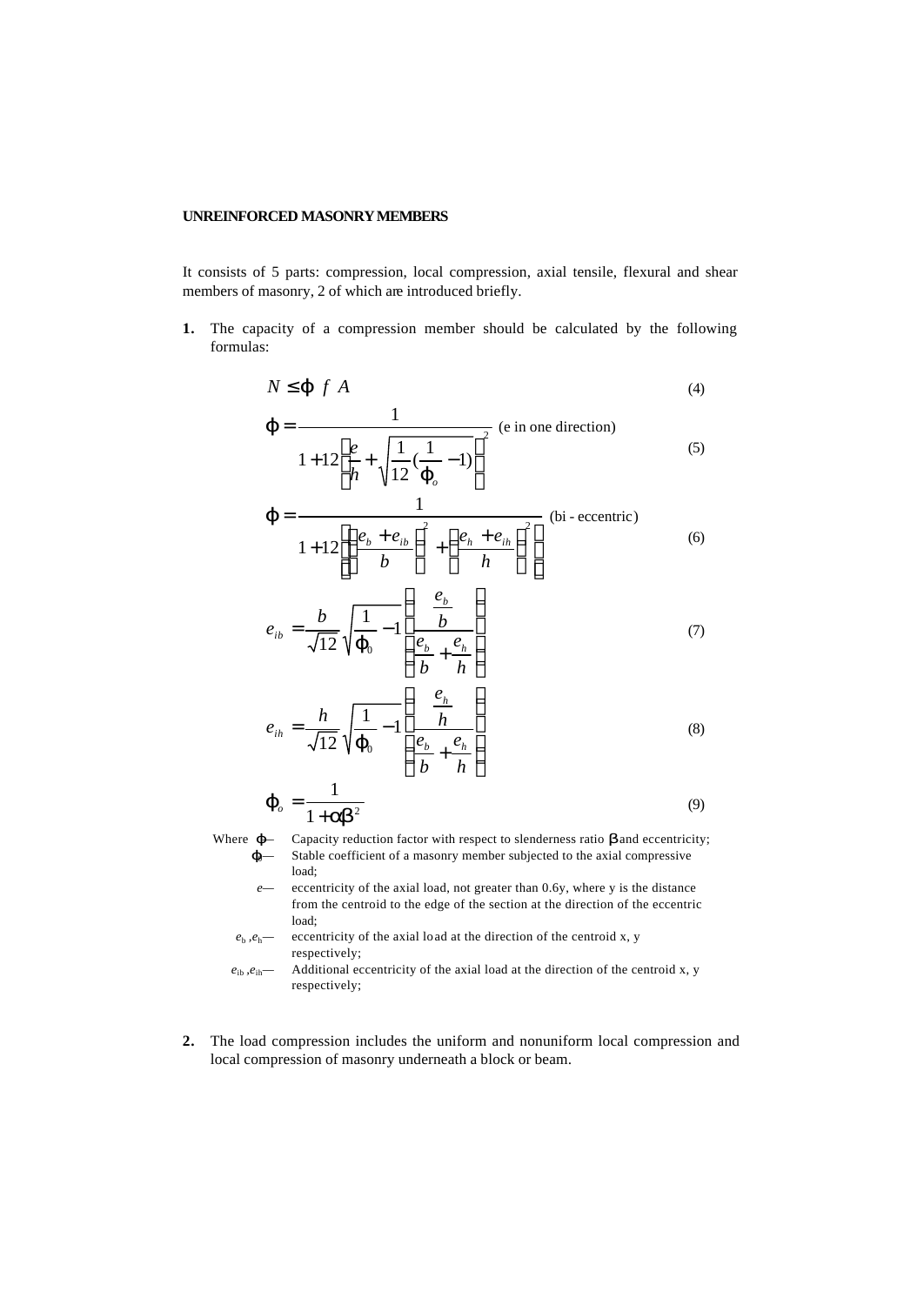## **UNREINFORCED MASONRY MEMBERS**

It consists of 5 parts: compression, local compression, axial tensile, flexural and shear members of masonry, 2 of which are introduced briefly.

**1.** The capacity of a compression member should be calculated by the following formulas:

$$
N \leq \mathbf{j} \, f \, A \tag{4}
$$

$$
\mathbf{j} = \frac{1}{1 + 12 \left[ \frac{e}{h} + \sqrt{\frac{1}{12} \left( \frac{1}{\mathbf{j}} - 1 \right)} \right]^2}
$$
 (e in one direction) (5)

$$
\mathbf{j} = \frac{1}{1+12\left[\left(\frac{e_b+e_{ib}}{b}\right)^2 + \left(\frac{e_h+e_{ih}}{h}\right)^2\right]}
$$
 (bi eccentric) (6)

$$
e_{ib} = \frac{b}{\sqrt{12}} \sqrt{\frac{1}{\boldsymbol{j}_0} - 1} \left( \frac{\frac{e_b}{b}}{\frac{e_b}{b} + \frac{e_h}{h}} \right) \tag{7}
$$

$$
e_{ih} = \frac{h}{\sqrt{12}} \sqrt{\frac{1}{\boldsymbol{J}_0} - 1} \left( \frac{\frac{e_h}{h}}{\frac{e_b}{b} + \frac{e_h}{h}} \right)
$$
(8)

$$
\boldsymbol{j}_{o} = \frac{1}{1 + \boldsymbol{a} \boldsymbol{b}^{2}}
$$
 (9)

Where *j*— Capacity reduction factor with respect to slenderness ratio *b* and eccentricity; *j*<sub>0</sub>— Stable coefficient of a masonry member subjected to the axial compressive load;

*e—* eccentricity of the axial load, not greater than 0.6y, where y is the distance from the centroid to the edge of the section at the direction of the eccentric load;

 $e_b$ ,  $e_h$ — eccentricity of the axial load at the direction of the centroid x, y respectively;

- $e_{ib}, e_{ih}$  Additional eccentricity of the axial load at the direction of the centroid x, y respectively;
- **2.** The load compression includes the uniform and nonuniform local compression and local compression of masonry underneath a block or beam.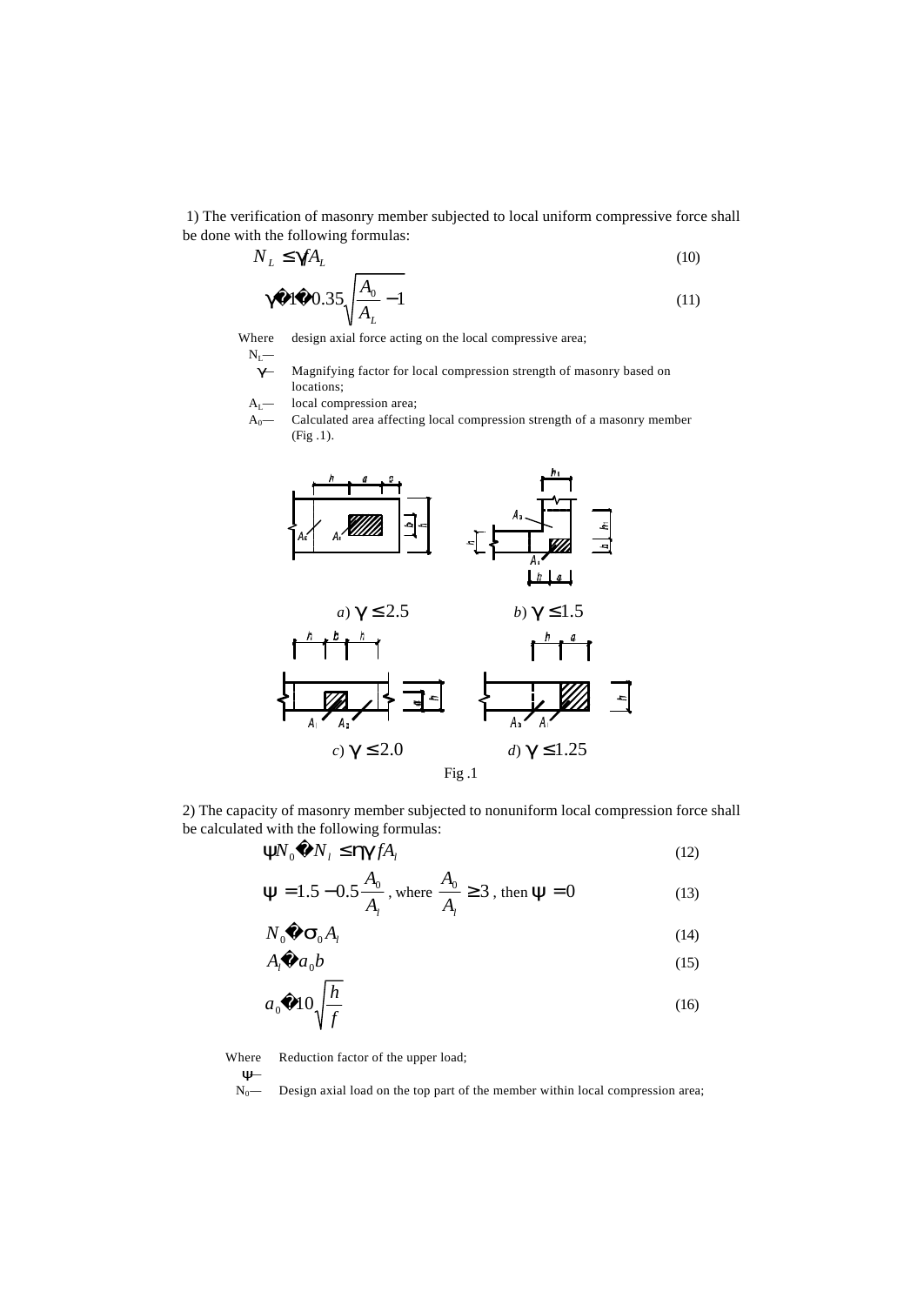1) The verification of masonry member subjected to local uniform compressive force shall be done with the following formulas:

$$
N_L \le \mathbf{g} f A_L \tag{10}
$$

$$
\mathbf{g} \quad 1 \quad 0.35 \sqrt{\frac{A_0}{A_L}} - 1 \tag{11}
$$

Where design axial force acting on the local compressive area;

 $N_L$ —

*g—* Magnifying factor for local compression strength of masonry based on locations;

- A<sub>L</sub>— local compression area;
- A<sub>0</sub>— Calculated area affecting local compression strength of a masonry member (Fig .1).



2) The capacity of masonry member subjected to nonuniform local compression force shall be calculated with the following formulas:

$$
\mathbf{y}N_0 \quad N_l \le \mathbf{h}\mathbf{g}fA_l \tag{12}
$$

$$
y = 1.5 - 0.5 \frac{A_0}{A_1}
$$
, where  $\frac{A_0}{A_1} \ge 3$ , then  $y = 0$  (13)

$$
N_0 \quad \mathbf{S}_0 A_l \tag{14}
$$

$$
A_l \quad a_0 b \tag{15}
$$

$$
a_0 \quad 10\sqrt{\frac{h}{f}} \tag{16}
$$

Where Reduction factor of the upper load;

*y—*

Design axial load on the top part of the member within local compression area;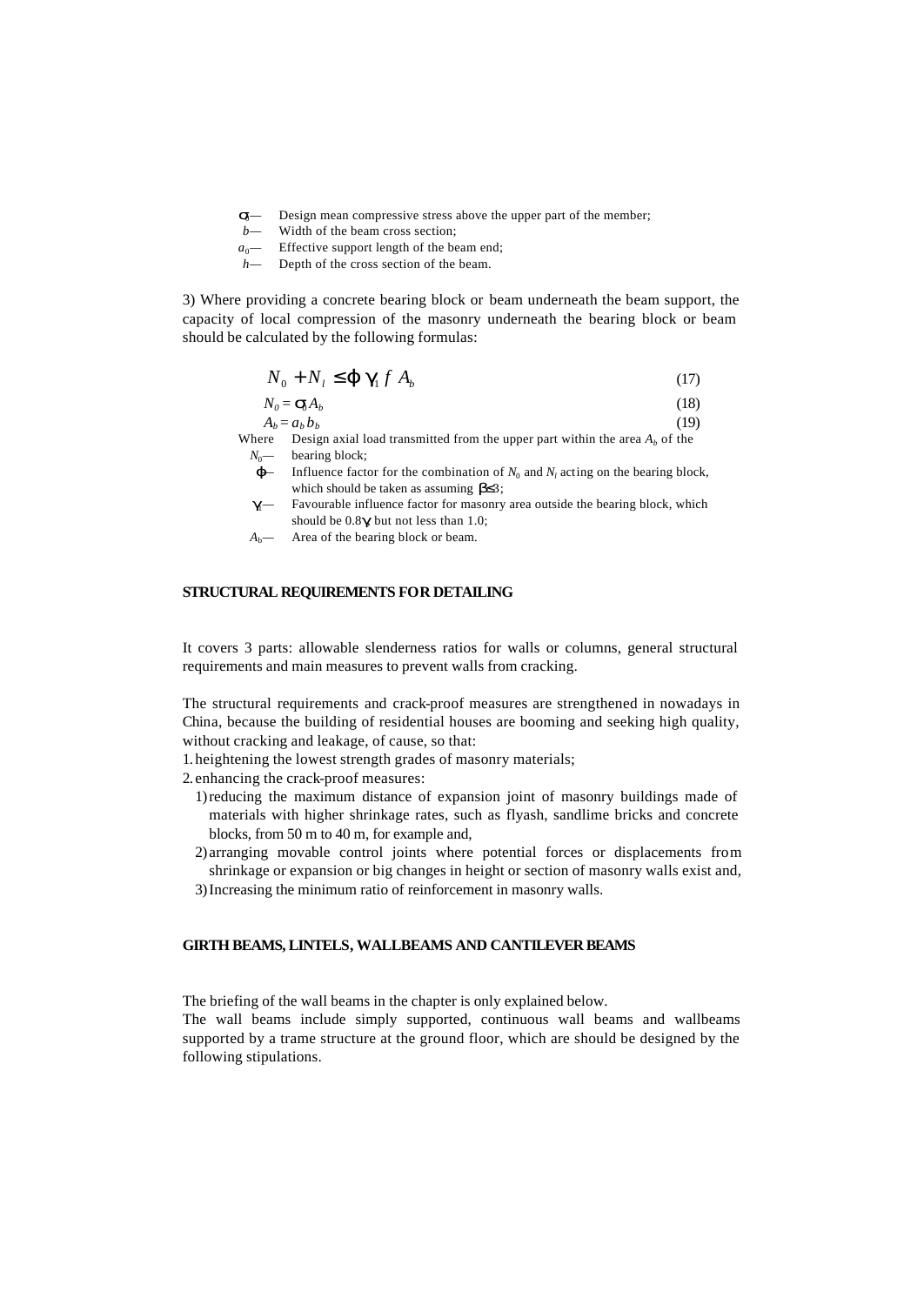- *s*<sup>2</sup> Design mean compressive stress above the upper part of the member;<br>*b*<sup>2</sup> Width of the heam cross section:
- Width of the beam cross section;
- $a_0$  Effective support length of the beam end;
- *h—* Depth of the cross section of the beam.

3) Where providing a concrete bearing block or beam underneath the beam support, the capacity of local compression of the masonry underneath the bearing block or beam should be calculated by the following formulas:

$$
N_0 + N_l \leq \mathbf{j} \mathbf{g}_l f A_b \tag{17}
$$

$$
N_0 = \mathbf{S}_1 A_b \tag{18}
$$

$$
A_b = a_b b_b \tag{19}
$$

Where Design axial load transmitted from the upper part within the area  $A_b$  of the *N*<sup>0</sup> bearing block;

- *j*<sup> $-$ </sup> Influence factor for the combination of  $N_0$  and  $N_l$  acting on the bearing block, which should be taken as assuming *b*≤3;
- **g**<sup>1</sup> Favourable influence factor for masonry area outside the bearing block, which should be  $0.8g$  but not less than 1.0;
- *A*b*—* Area of the bearing block or beam.

### **STRUCTURAL REQUIREMENTS FOR DETAILING**

It covers 3 parts: allowable slenderness ratios for walls or columns, general structural requirements and main measures to prevent walls from cracking.

The structural requirements and crack-proof measures are strengthened in nowadays in China, because the building of residential houses are booming and seeking high quality, without cracking and leakage, of cause, so that:

1. heightening the lowest strength grades of masonry materials;

2. enhancing the crack-proof measures:

- 1)reducing the maximum distance of expansion joint of masonry buildings made of materials with higher shrinkage rates, such as flyash, sandlime bricks and concrete blocks, from 50 m to 40 m, for example and,
- 2) arranging movable control joints where potential forces or displacements from shrinkage or expansion or big changes in height or section of masonry walls exist and,
- 3)Increasing the minimum ratio of reinforcement in masonry walls.

### **GIRTH BEAMS, LINTELS, WALLBEAMS AND CANTILEVER BEAMS**

The briefing of the wall beams in the chapter is only explained below.

The wall beams include simply supported, continuous wall beams and wallbeams supported by a trame structure at the ground floor, which are should be designed by the following stipulations.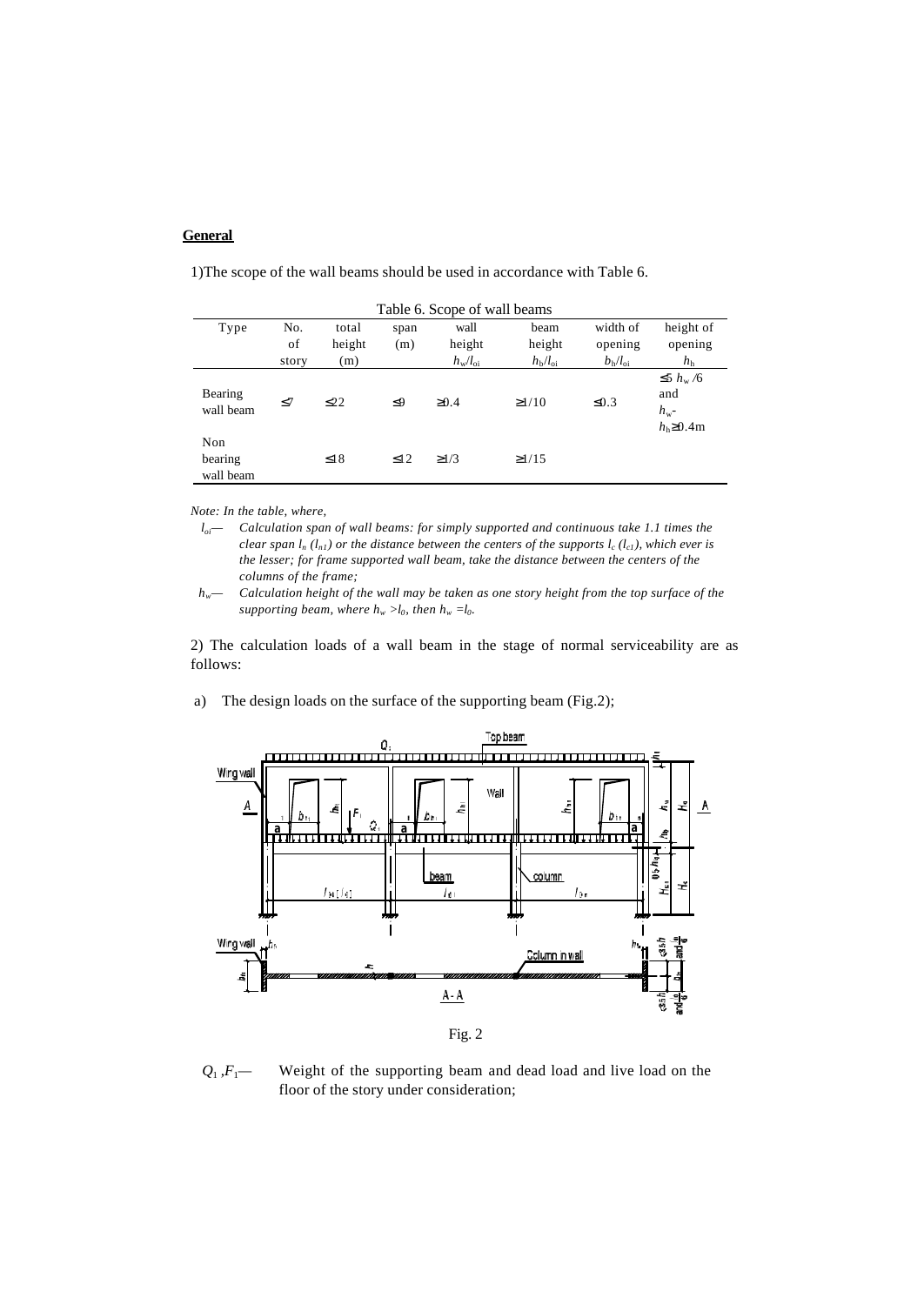# **General**

|                             | Table 6. Scope of wall beams |                        |             |                                          |                                          |                                               |                                                               |
|-----------------------------|------------------------------|------------------------|-------------|------------------------------------------|------------------------------------------|-----------------------------------------------|---------------------------------------------------------------|
| Type                        | No.<br>of<br>story           | total<br>height<br>(m) | span<br>(m) | wall<br>height<br>$h_{\rm w}/l_{\rm o1}$ | beam<br>height<br>$h_{\rm b}/l_{\rm oi}$ | width of<br>opening<br>$b_{\rm h}/l_{\rm o1}$ | height of<br>opening<br>h <sub>h</sub>                        |
| Bearing<br>wall beam        | $\leq$ 7                     | $\leq$ 22              | $\leq9$     | $\geq 0.4$                               | $\geq$ 1/10                              | $\leq 0.3$                                    | $\leq 5 h_{\rm w}/6$<br>and<br>$h_{\rm w}$ -<br>$hb \ge 0.4m$ |
| Non<br>bearing<br>wall beam |                              | $\leq$ 18              | $\leq$ 12   | $\geq$ 1/3                               | $\geq$ 1/15                              |                                               |                                                               |

1)The scope of the wall beams should be used in accordance with Table 6.

*Note: In the table, where,*

*loi— Calculation span of wall beams: for simply supported and continuous take 1.1 times the clear span*  $l_n$  ( $l_{n1}$ ) or the distance between the centers of the supports  $l_c$  ( $l_{c1}$ ), which ever is *the lesser; for frame supported wall beam, take the distance between the centers of the columns of the frame;*

*hw— Calculation height of the wall may be taken as one story height from the top surface of the*  supporting beam, where  $h_w > l_0$ , then  $h_w = l_0$ .

2) The calculation loads of a wall beam in the stage of normal serviceability are as follows:

a) The design loads on the surface of the supporting beam (Fig.2);



 $Q_1$ ,  $F_1$ — Weight of the supporting beam and dead load and live load on the floor of the story under consideration;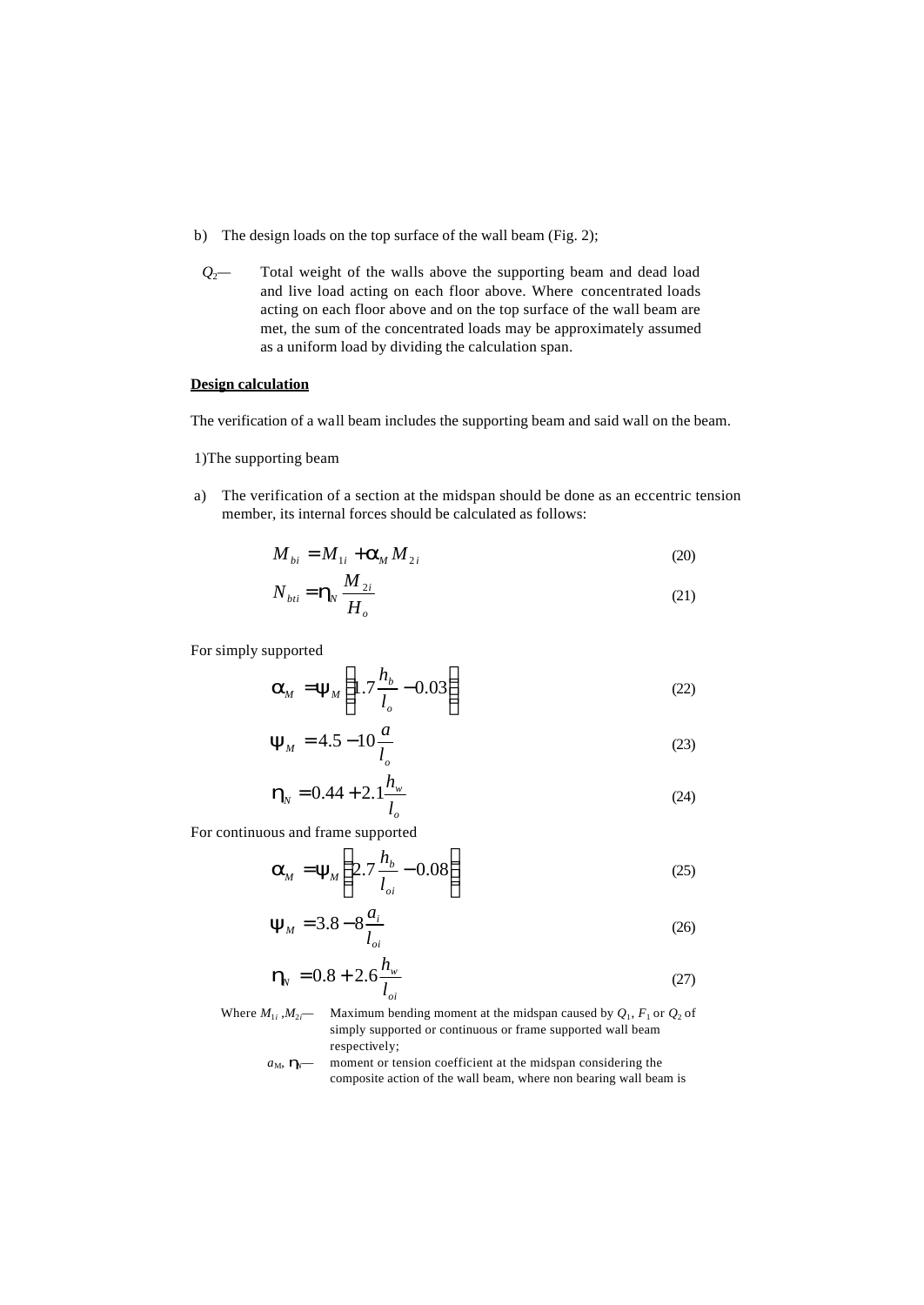- b) The design loads on the top surface of the wall beam (Fig. 2);
- *Q*2*—* Total weight of the walls above the supporting beam and dead load and live load acting on each floor above. Where concentrated loads acting on each floor above and on the top surface of the wall beam are met, the sum of the concentrated loads may be approximately assumed as a uniform load by dividing the calculation span.

### **Design calculation**

The verification of a wall beam includes the supporting beam and said wall on the beam.

### 1)The supporting beam

a) The verification of a section at the midspan should be done as an eccentric tension member, its internal forces should be calculated as follows:

$$
M_{bi} = M_{1i} + \mathbf{a}_M M_{2i}
$$
 (20)

$$
N_{bii} = \mathbf{h}_N \frac{M_{2i}}{H_o} \tag{21}
$$

For simply supported

$$
\mathbf{a}_M = \mathbf{y}_M \left( 1.7 \frac{h_b}{l_o} - 0.03 \right) \tag{22}
$$

$$
\mathbf{y}_M = 4.5 - 10 \frac{a}{l_o} \tag{23}
$$

$$
\mathbf{h}_N = 0.44 + 2.1 \frac{h_w}{l_o} \tag{24}
$$

For continuous and frame supported

$$
\mathbf{a}_M = \mathbf{y}_M \left( 2.7 \frac{h_b}{l_{oi}} - 0.08 \right) \tag{25}
$$

$$
y_M = 3.8 - 8 \frac{a_i}{l_{oi}} \tag{26}
$$

$$
\mathbf{h}_{N} = 0.8 + 2.6 \frac{h_{w}}{l_{oi}}
$$
 (27)

- Where  $M_{1i}$ ,  $M_{2i}$  Maximum bending moment at the midspan caused by  $Q_1$ ,  $F_1$  or  $Q_2$  of simply supported or continuous or frame supported wall beam respectively;
	- $a_M$ ,  $\mathbf{h}$ <sub>*N*</sub> moment or tension coefficient at the midspan considering the composite action of the wall beam, where non bearing wall beam is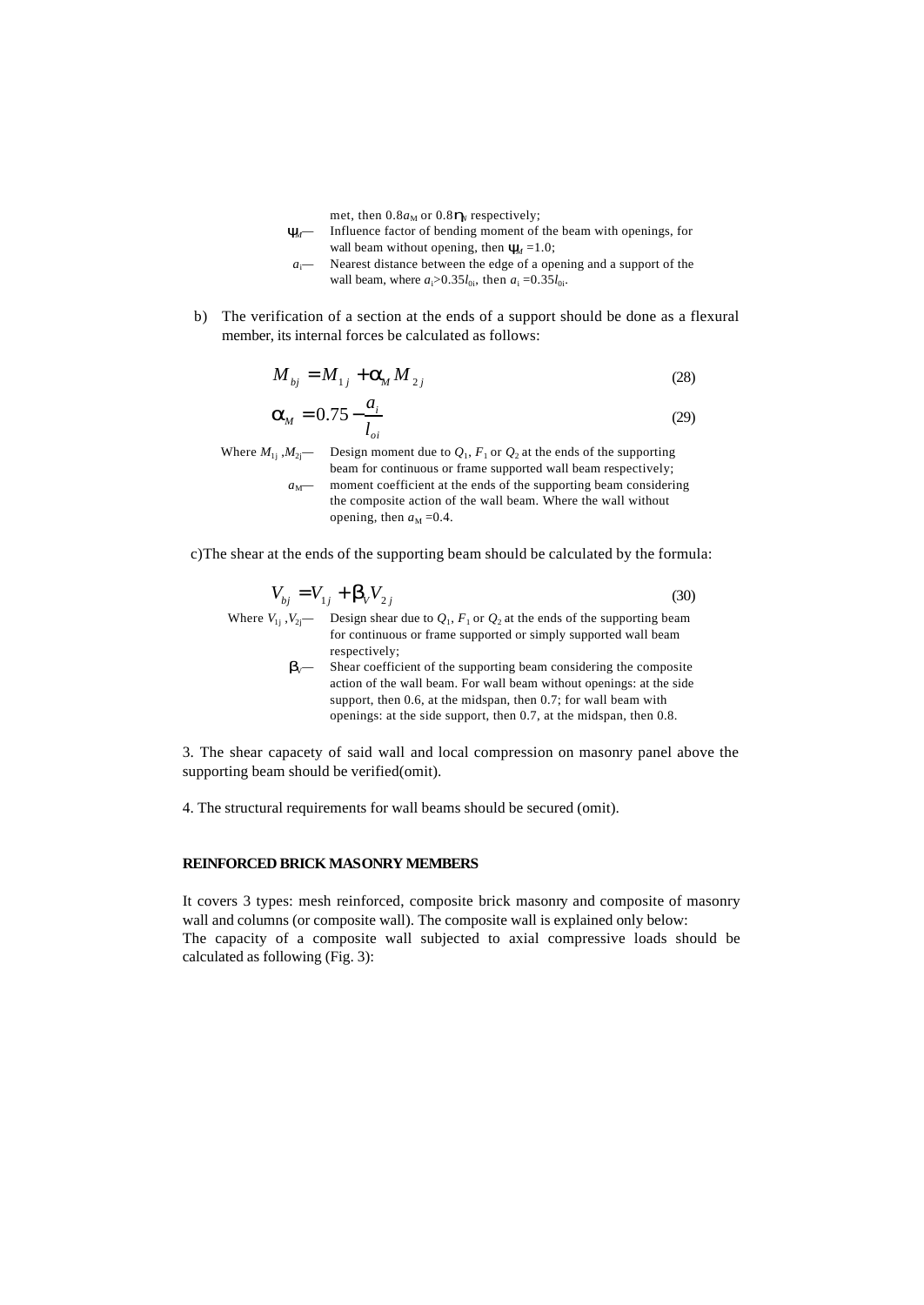met, then  $0.8a_M$  or  $0.8\mathbf{h}_N$  respectively;

- *y*<sup>*M*</sup> Influence factor of bending moment of the beam with openings, for wall beam without opening, then  $\mathbf{y}_d = 1.0$ ;
- *a*i*—* Nearest distance between the edge of a opening and a support of the wall beam, where  $a_i > 0.35 l_{0i}$ , then  $a_i = 0.35 l_{0i}$ .
- b) The verification of a section at the ends of a support should be done as a flexural member, its internal forces be calculated as follows:

$$
M_{ij} = M_{1j} + \mathbf{a}_M M_{2j}
$$
 (28)

$$
\mathbf{a}_M = 0.75 - \frac{a_i}{l_{oi}} \tag{29}
$$

Where  $M_{1j}$ ,  $M_{2j}$ — Design moment due to  $Q_1$ ,  $F_1$  or  $Q_2$  at the ends of the supporting beam for continuous or frame supported wall beam respectively;  $a_M$ — moment coefficient at the ends of the supporting beam considering the composite action of the wall beam. Where the wall without opening, then  $a_M = 0.4$ .

c)The shear at the ends of the supporting beam should be calculated by the formula:

$$
V_{bj} = V_{1j} + \mathbf{b}_v V_{2j}
$$
 (30)  
Where  $V_{1j}$ ,  $V_{2j}$  — Design shear due to  $Q_1$ ,  $F_1$  or  $Q_2$  at the ends of the supporting beam

for continuous or frame supported or simply supported wall beam respectively;  $b$ <sub>V</sub>— Shear coefficient of the supporting beam considering the composite

action of the wall beam. For wall beam without openings: at the side support, then 0.6, at the midspan, then 0.7; for wall beam with openings: at the side support, then 0.7, at the midspan, then 0.8.

3. The shear capacety of said wall and local compression on masonry panel above the supporting beam should be verified(omit).

4. The structural requirements for wall beams should be secured (omit).

#### **REINFORCED BRICK MASONRY MEMBERS**

It covers 3 types: mesh reinforced, composite brick masonry and composite of masonry wall and columns (or composite wall). The composite wall is explained only below: The capacity of a composite wall subjected to axial compressive loads should be calculated as following (Fig. 3):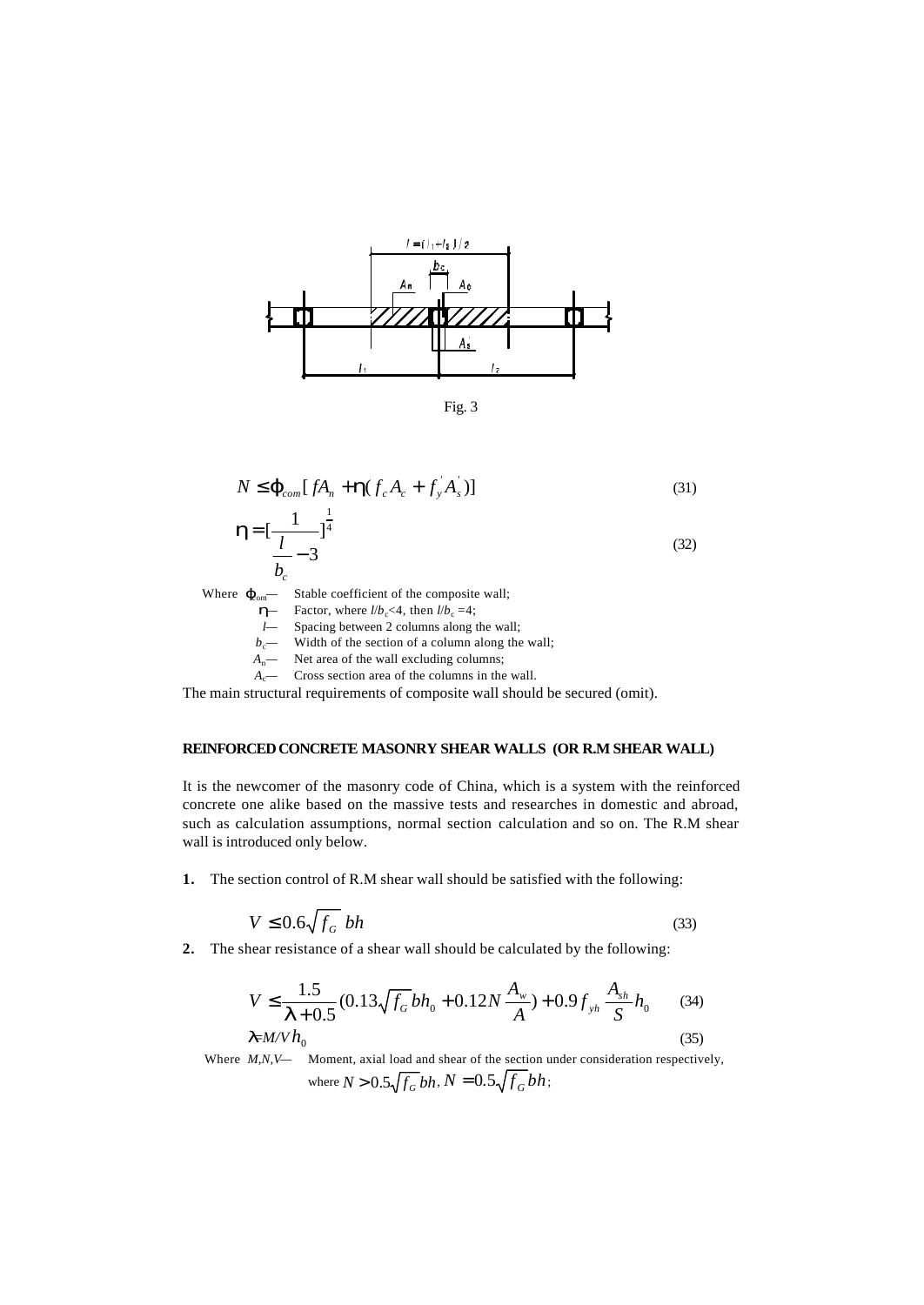

Fig. 3

$$
N \leq \mathbf{j}_{com}[fA_n + \mathbf{h}(f_c A_c + f_y A_s)]
$$
\n
$$
\mathbf{L}_{\text{max}} \left[ \frac{1}{\lambda_0} \frac{1}{\lambda_0} \right] \tag{31}
$$

$$
\mathbf{h} = \left[\frac{1}{l}\right]_0^{\overline{4}}
$$
  

$$
\frac{1}{b_c} - 3
$$
 (32)

Where  $j_{\text{com}}$  Stable coefficient of the composite wall;

- $\vec{h}$  Factor, where *l*/*b<sub>c</sub>*<4, then *l*/*b<sub>c</sub>* =4;
- *l—* Spacing between 2 columns along the wall;
- $b_c$  Width of the section of a column along the wall;
- *A*n*—* Net area of the wall excluding columns;
- $A_c$  Cross section area of the columns in the wall.

The main structural requirements of composite wall should be secured (omit).

### **REINFORCED CONCRETE MASONRY SHEAR WALLS (OR R.M SHEAR WALL)**

It is the newcomer of the masonry code of China, which is a system with the reinforced concrete one alike based on the massive tests and researches in domestic and abroad, such as calculation assumptions, normal section calculation and so on. The R.M shear wall is introduced only below.

**1.** The section control of R.M shear wall should be satisfied with the following:

$$
V \le 0.6\sqrt{f_G} bh \tag{33}
$$

**2.** The shear resistance of a shear wall should be calculated by the following:

$$
V \le \frac{1.5}{\mathbf{I} + 0.5} (0.13 \sqrt{f_G} bh_0 + 0.12 N \frac{A_w}{A}) + 0.9 f_{yh} \frac{A_{sh}}{S} h_0 \tag{34}
$$
  

$$
I = M/V h_0 \tag{35}
$$

Where *M,N,V*— Moment, axial load and shear of the section under consideration respectively, where  $N > 0.5\sqrt{f_G}bh$ ,  $N = 0.5\sqrt{f_G}bh$ ;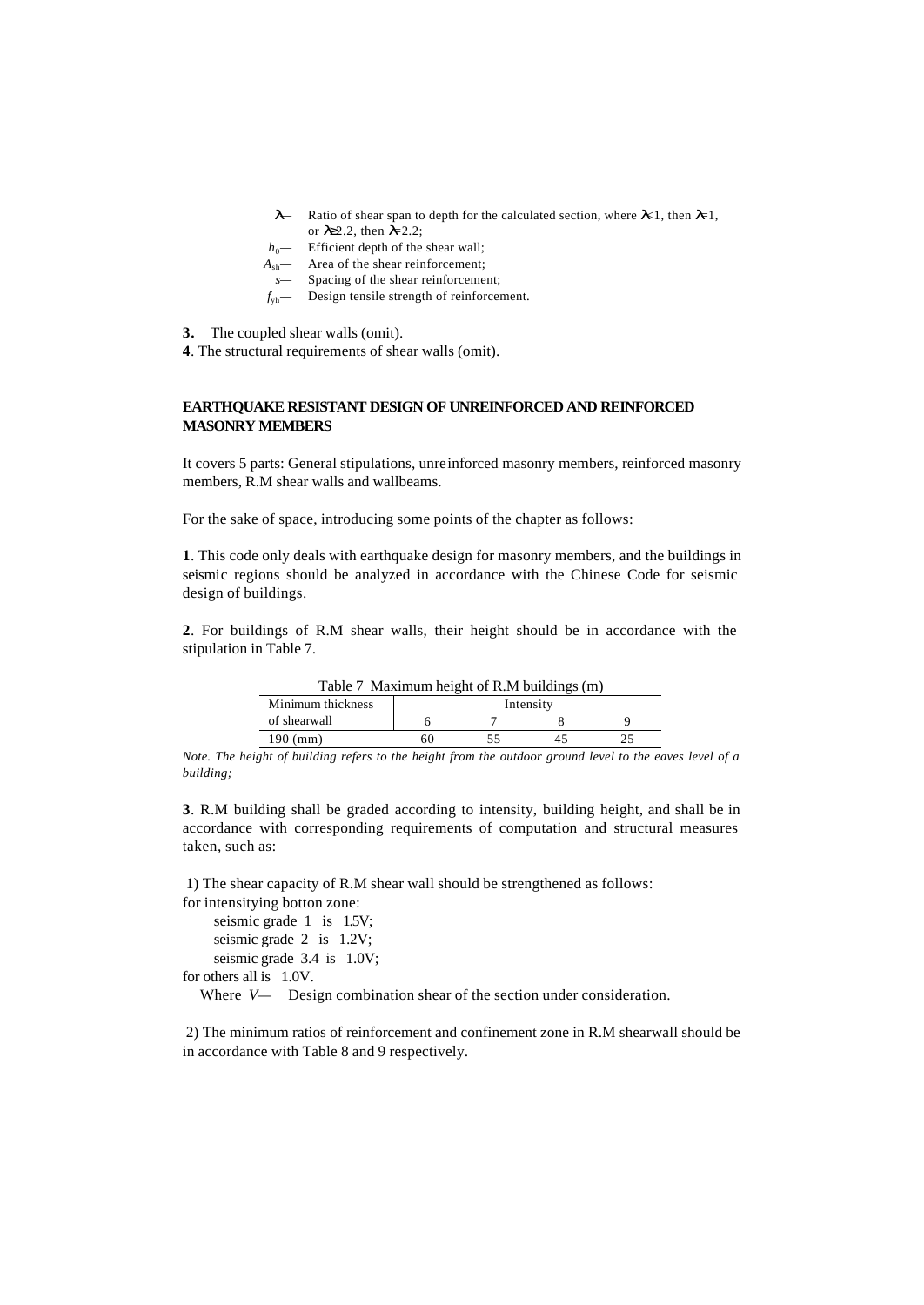- *l*<sup>*—*</sup> Ratio of shear span to depth for the calculated section, where  $k$ 1, then  $l$ =1, or *l*≥2.2, then *l*=2.2;
- $h_0$  Efficient depth of the shear wall;
- *A*sh*—* Area of the shear reinforcement;
- *s—* Spacing of the shear reinforcement;
- *f*yh*—* Design tensile strength of reinforcement.

**3.** The coupled shear walls (omit).

**4**. The structural requirements of shear walls (omit).

### **EARTHQUAKE RESISTANT DESIGN OF UNREINFORCED AND REINFORCED MASONRY MEMBERS**

It covers 5 parts: General stipulations, unreinforced masonry members, reinforced masonry members, R.M shear walls and wallbeams.

For the sake of space, introducing some points of the chapter as follows:

**1**. This code only deals with earthquake design for masonry members, and the buildings in seismic regions should be analyzed in accordance with the Chinese Code for seismic design of buildings.

**2**. For buildings of R.M shear walls, their height should be in accordance with the stipulation in Table 7.

Table 7 Maximum height of R.M buildings (m)

| Minimum thickness |  | Intensity |  |
|-------------------|--|-----------|--|
| of shearwall      |  |           |  |
| ۱۵Λ               |  |           |  |

*Note. The height of building refers to the height from the outdoor ground level to the eaves level of a building;*

**3**. R.M building shall be graded according to intensity, building height, and shall be in accordance with corresponding requirements of computation and structural measures taken, such as:

1) The shear capacity of R.M shear wall should be strengthened as follows:

for intensitying botton zone: seismic grade 1 is 1.5V;

seismic grade 2 is 1.2V;

seismic grade 3.4 is 1.0V;

for others all is 1.0V.

Where *V*— Design combination shear of the section under consideration.

 2) The minimum ratios of reinforcement and confinement zone in R.M shearwall should be in accordance with Table 8 and 9 respectively.